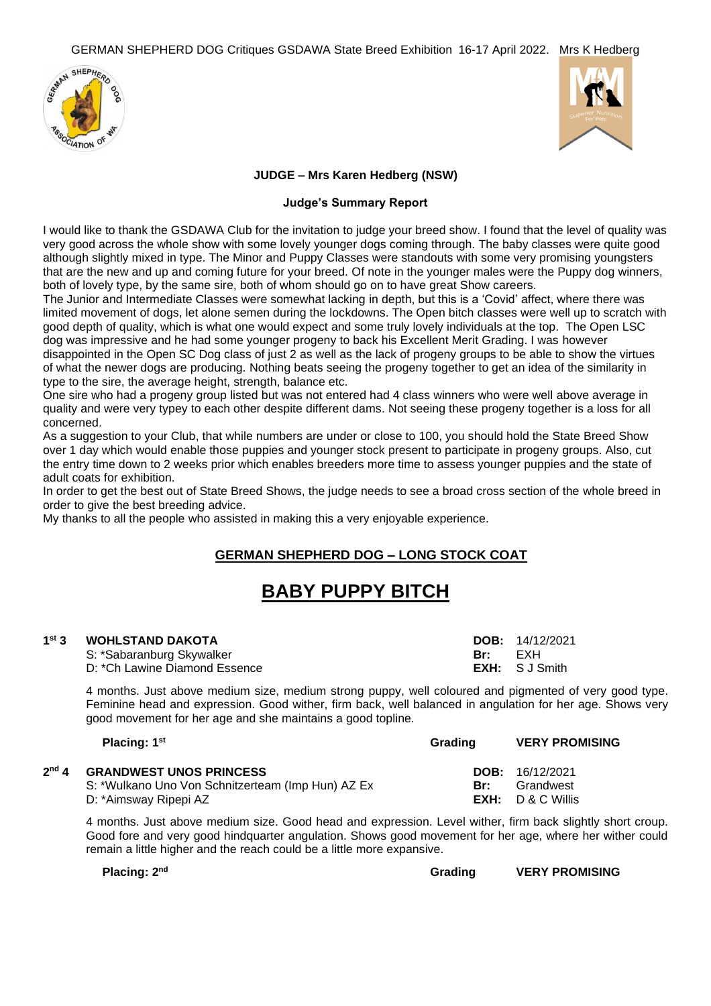



### **JUDGE – Mrs Karen Hedberg (NSW)**

### **Judge's Summary Report**

I would like to thank the GSDAWA Club for the invitation to judge your breed show. I found that the level of quality was very good across the whole show with some lovely younger dogs coming through. The baby classes were quite good although slightly mixed in type. The Minor and Puppy Classes were standouts with some very promising youngsters that are the new and up and coming future for your breed. Of note in the younger males were the Puppy dog winners, both of lovely type, by the same sire, both of whom should go on to have great Show careers.

The Junior and Intermediate Classes were somewhat lacking in depth, but this is a 'Covid' affect, where there was limited movement of dogs, let alone semen during the lockdowns. The Open bitch classes were well up to scratch with good depth of quality, which is what one would expect and some truly lovely individuals at the top. The Open LSC dog was impressive and he had some younger progeny to back his Excellent Merit Grading. I was however disappointed in the Open SC Dog class of just 2 as well as the lack of progeny groups to be able to show the virtues

of what the newer dogs are producing. Nothing beats seeing the progeny together to get an idea of the similarity in type to the sire, the average height, strength, balance etc.

One sire who had a progeny group listed but was not entered had 4 class winners who were well above average in quality and were very typey to each other despite different dams. Not seeing these progeny together is a loss for all concerned.

As a suggestion to your Club, that while numbers are under or close to 100, you should hold the State Breed Show over 1 day which would enable those puppies and younger stock present to participate in progeny groups. Also, cut the entry time down to 2 weeks prior which enables breeders more time to assess younger puppies and the state of adult coats for exhibition.

In order to get the best out of State Breed Shows, the judge needs to see a broad cross section of the whole breed in order to give the best breeding advice.

My thanks to all the people who assisted in making this a very enjoyable experience.

### **GERMAN SHEPHERD DOG – LONG STOCK COAT**

# **BABY PUPPY BITCH**

#### $1<sup>st</sup>$  3 **st 3 WOHLSTAND DAKOTA DOB:** 14/12/2021

S: \*Sabaranburg Skywalker **Br: Br: EXH** D: \*Ch Lawine Diamond Essence **EXH:** S J Smith

**st Grading VERY PROMISING**

4 months. Just above medium size, medium strong puppy, well coloured and pigmented of very good type. Feminine head and expression. Good wither, firm back, well balanced in angulation for her age. Shows very good movement for her age and she maintains a good topline.

| Placing: 1 <sup>st</sup> |  |
|--------------------------|--|
|--------------------------|--|

**2**

| <sup>nd</sup> 4  GRANDWEST UNOS PRINCESS          |     | <b>DOB:</b> $16/12/2021$ |
|---------------------------------------------------|-----|--------------------------|
| S: *Wulkano Uno Von Schnitzerteam (Imp Hun) AZ Ex | Br: | Grandwest                |
| D: *Aimsway Ripepi AZ                             |     | $EXH: D & C$ Willis      |

4 months. Just above medium size. Good head and expression. Level wither, firm back slightly short croup. Good fore and very good hindquarter angulation. Shows good movement for her age, where her wither could remain a little higher and the reach could be a little more expansive.

**Placing: 2**

**nd Grading VERY PROMISING**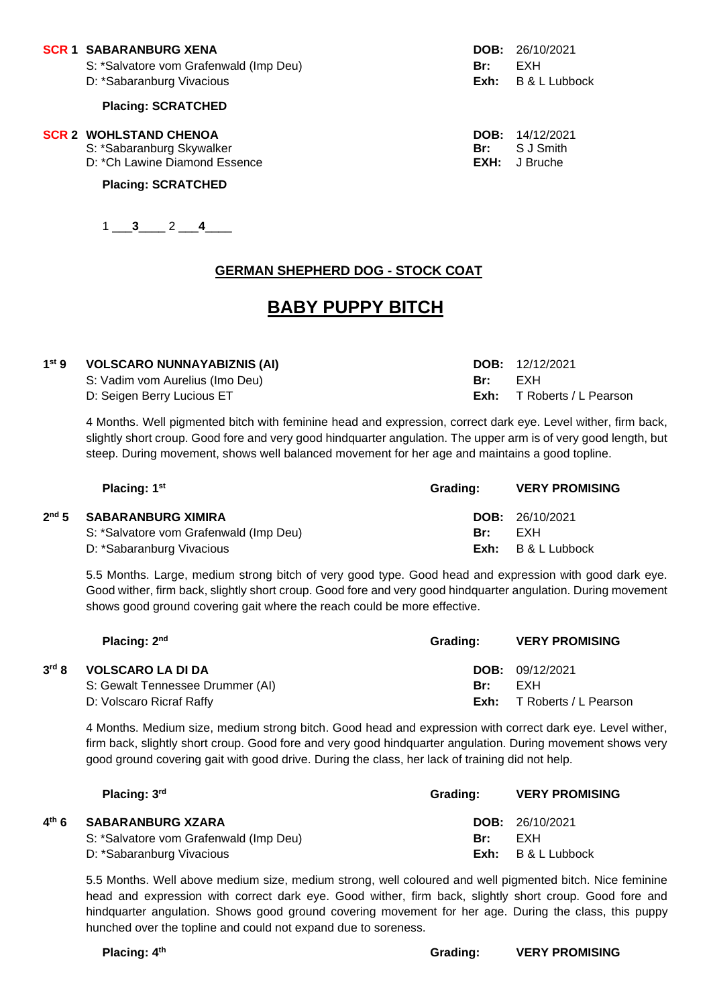#### **SCR 1 SABARANBURG XENA DOB:** 26/10/2021

- S: \*Salvatore vom Grafenwald (Imp Deu) **Br:** EXH
- D: \*Sabaranburg Vivacious **Exh:** B & L Lubbock

#### **Placing: SCRATCHED**

#### **SCR 2 WOHLSTAND CHENOA DOB:** 14/12/2021

**2**

**4**

- S: \*Sabaranburg Skywalker **Br: EXH:** SJ Smith **Br: SI Smith Br: SI Smith Br: SI Smith Br: Bruche** Br: **Bruche** Br: **Bruche** Br: **Bruche** Br: Bruche
- D: \* Ch Lawine Diamond Essence

### **Placing: SCRATCHED**

### $1 \_3 \_2 \_4 \_4$

# **GERMAN SHEPHERD DOG - STOCK COAT**

# **BABY PUPPY BITCH**

| 1 <sup>st</sup> 9 | <b>VOLSCARO NUNNAYABIZNIS (AI)</b> |      | <b>DOB:</b> $12/12/2021$ |
|-------------------|------------------------------------|------|--------------------------|
|                   | S: Vadim vom Aurelius (Imo Deu)    | Br:  | FXH                      |
|                   | D: Seigen Berry Lucious ET         | Exh: | T Roberts / L Pearson    |

4 Months. Well pigmented bitch with feminine head and expression, correct dark eye. Level wither, firm back, slightly short croup. Good fore and very good hindquarter angulation. The upper arm is of very good length, but steep. During movement, shows well balanced movement for her age and maintains a good topline.

| Placing: 1 <sup>st</sup>               | Grading: | <b>VERY PROMISING</b>    |
|----------------------------------------|----------|--------------------------|
| nd 5 SABARANBURG XIMIRA                |          | <b>DOB:</b> $26/10/2021$ |
| S: *Salvatore vom Grafenwald (Imp Deu) | Br:      | FXH                      |
| D: *Sabaranburg Vivacious              | Exh:     | B & L Lubbock            |

5.5 Months. Large, medium strong bitch of very good type. Good head and expression with good dark eye. Good wither, firm back, slightly short croup. Good fore and very good hindquarter angulation. During movement shows good ground covering gait where the reach could be more effective.

| Placing: 2 <sup>nd</sup> |                                  | Grading: | <b>VERY PROMISING</b>  |
|--------------------------|----------------------------------|----------|------------------------|
| 3 <sup>rd</sup> 8        | <b>VOLSCARO LA DI DA</b>         |          | <b>DOB:</b> 09/12/2021 |
|                          | S: Gewalt Tennessee Drummer (AI) | Br:      | FXH                    |
|                          | D: Volscaro Ricraf Raffy         | Exh:     | T Roberts / L Pearson  |

4 Months. Medium size, medium strong bitch. Good head and expression with correct dark eye. Level wither, firm back, slightly short croup. Good fore and very good hindquarter angulation. During movement shows very good ground covering gait with good drive. During the class, her lack of training did not help.

|                 | Placing: $3rd$                         | Grading: | <b>VERY PROMISING</b>    |
|-----------------|----------------------------------------|----------|--------------------------|
| <sup>th</sup> ፍ | <b>SABARANBURG XZARA</b>               |          | <b>DOB:</b> $26/10/2021$ |
|                 | S: *Salvatore vom Grafenwald (Imp Deu) | Br:      | FXH                      |
|                 | D: *Sabaranburg Vivacious              |          | $Exh: B & L$ Lubbock     |

5.5 Months. Well above medium size, medium strong, well coloured and well pigmented bitch. Nice feminine head and expression with correct dark eye. Good wither, firm back, slightly short croup. Good fore and hindquarter angulation. Shows good ground covering movement for her age. During the class, this puppy hunched over the topline and could not expand due to soreness.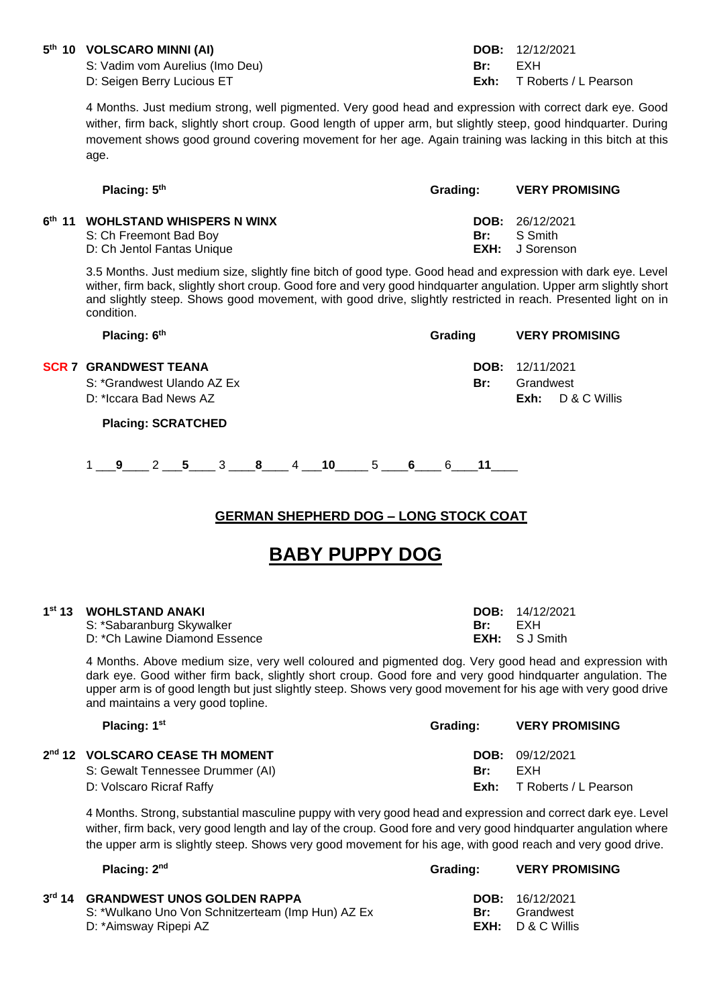### **5 th 10 VOLSCARO MINNI (AI) DOB:** 12/12/2021

S: Vadim vom Aurelius (Imo Deu) **Br:** EXH

4 Months. Just medium strong, well pigmented. Very good head and expression with correct dark eye. Good wither, firm back, slightly short croup. Good length of upper arm, but slightly steep, good hindquarter. During movement shows good ground covering movement for her age. Again training was lacking in this bitch at this age.

|     | <b>VERY PROMISING</b>                                       |
|-----|-------------------------------------------------------------|
| Br: | <b>DOB:</b> 26/12/2021<br>S Smith<br><b>EXH:</b> J Sorenson |
|     | Grading:                                                    |

3.5 Months. Just medium size, slightly fine bitch of good type. Good head and expression with dark eye. Level wither, firm back, slightly short croup. Good fore and very good hindquarter angulation. Upper arm slightly short and slightly steep. Shows good movement, with good drive, slightly restricted in reach. Presented light on in condition.

| Placing: 6th | Grading | <b>VERY PROMISING</b> |
|--------------|---------|-----------------------|
|              |         |                       |

### **SCR 7 GRANDWEST TEANA DOB:** 12/11/2021

S: \*Grandwest Ulando AZ Ex **Br:** Grandwest Ulando AZ Ex

D: \*Iccara Bad News AZ **Exh:** D & C Willis

**Placing: SCRATCHED**

1 \_\_\_**9**\_\_\_\_ 2 \_\_\_**5**\_\_\_\_ 3 \_\_\_\_**8**\_\_\_\_ 4 \_\_\_**10**\_\_\_\_\_ 5 \_\_\_\_**6**\_\_\_\_ 6\_\_\_\_**11**\_\_\_\_

### **GERMAN SHEPHERD DOG – LONG STOCK COAT**

# **BABY PUPPY DOG**

| 1st 13 WOHLSTAND ANAKI        |       | <b>DOB:</b> $14/12/2021$ |
|-------------------------------|-------|--------------------------|
| S: *Sabaranburg Skywalker     | – Rr∙ | FXH                      |
| D: *Ch Lawine Diamond Essence |       | <b>EXH:</b> SJ Smith     |

4 Months. Above medium size, very well coloured and pigmented dog. Very good head and expression with dark eye. Good wither firm back, slightly short croup. Good fore and very good hindquarter angulation. The upper arm is of good length but just slightly steep. Shows very good movement for his age with very good drive and maintains a very good topline.

| <b>VERY PROMISING</b> |
|-----------------------|
|                       |
|                       |
| T Roberts / L Pearson |
|                       |

4 Months. Strong, substantial masculine puppy with very good head and expression and correct dark eye. Level wither, firm back, very good length and lay of the croup. Good fore and very good hindquarter angulation where the upper arm is slightly steep. Shows very good movement for his age, with good reach and very good drive.

| Placing: $2nd$                                                                                                   | Grading: | <b>VERY PROMISING</b>                                        |
|------------------------------------------------------------------------------------------------------------------|----------|--------------------------------------------------------------|
| 3rd 14 GRANDWEST UNOS GOLDEN RAPPA<br>S: *Wulkano Uno Von Schnitzerteam (Imp Hun) AZ Ex<br>D: *Aimsway Ripepi AZ | Br:      | <b>DOB:</b> $16/12/2021$<br>Grandwest<br>$EXH: D & C$ Willis |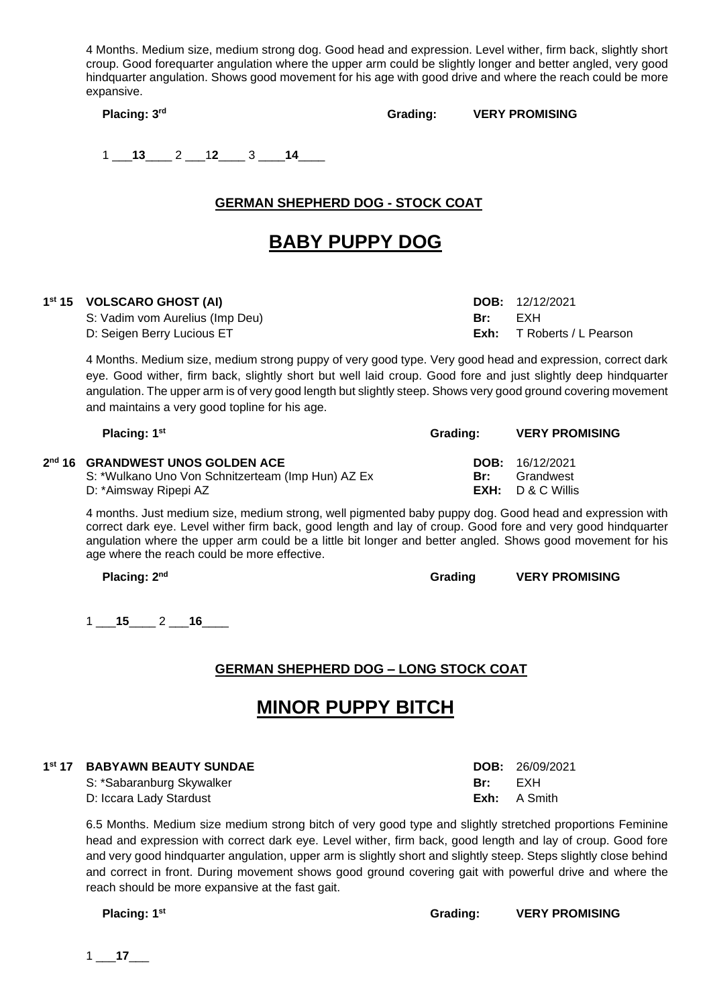4 Months. Medium size, medium strong dog. Good head and expression. Level wither, firm back, slightly short croup. Good forequarter angulation where the upper arm could be slightly longer and better angled, very good hindquarter angulation. Shows good movement for his age with good drive and where the reach could be more expansive.

**Placing: 3**

**rd Grading: VERY PROMISING**

1 \_\_\_**13**\_\_\_\_ 2 \_\_\_1**2**\_\_\_\_ 3 \_\_\_\_**14**\_\_\_\_

# **GERMAN SHEPHERD DOG - STOCK COAT**

# **BABY PUPPY DOG**

### **1 st 15 VOLSCARO GHOST (AI) DOB:** 12/12/2021

S: Vadim vom Aurelius (Imp Deu) **Br:** EXH D: Seigen Berry Lucious ET **Exh:** T Roberts / L Pearson

4 Months. Medium size, medium strong puppy of very good type. Very good head and expression, correct dark eye. Good wither, firm back, slightly short but well laid croup. Good fore and just slightly deep hindquarter angulation. The upper arm is of very good length but slightly steep. Shows very good ground covering movement and maintains a very good topline for his age.

| Placing: $1st$                                                                                                             | Grading: | <b>VERY PROMISING</b>                                      |
|----------------------------------------------------------------------------------------------------------------------------|----------|------------------------------------------------------------|
| 2 <sup>nd</sup> 16 GRANDWEST UNOS GOLDEN ACE<br>S: *Wulkano Uno Von Schnitzerteam (Imp Hun) AZ Ex<br>D: *Aimsway Ripepi AZ | Br:      | DOB: 16/12/2021<br>Grandwest<br>$EXH: \quad D \& C$ Willis |

4 months. Just medium size, medium strong, well pigmented baby puppy dog. Good head and expression with correct dark eye. Level wither firm back, good length and lay of croup. Good fore and very good hindquarter angulation where the upper arm could be a little bit longer and better angled. Shows good movement for his age where the reach could be more effective.

**Placing: 2**

1 \_\_\_**15**\_\_\_\_ 2 \_\_\_**16**\_\_\_\_

# **GERMAN SHEPHERD DOG – LONG STOCK COAT**

# **MINOR PUPPY BITCH**

| 1st 17 BABYAWN BEAUTY SUNDAE |     | <b>DOB:</b> $26/09/2021$ |
|------------------------------|-----|--------------------------|
| S: *Sabaranburg Skywalker    | Br: | EXH                      |
| D: Iccara Lady Stardust      |     | <b>Exh:</b> A Smith      |

6.5 Months. Medium size medium strong bitch of very good type and slightly stretched proportions Feminine head and expression with correct dark eye. Level wither, firm back, good length and lay of croup. Good fore and very good hindquarter angulation, upper arm is slightly short and slightly steep. Steps slightly close behind and correct in front. During movement shows good ground covering gait with powerful drive and where the reach should be more expansive at the fast gait.

**Placing: 1**

**st Grading: VERY PROMISING**

1 \_\_\_**17**\_\_\_

**nd Grading VERY PROMISING**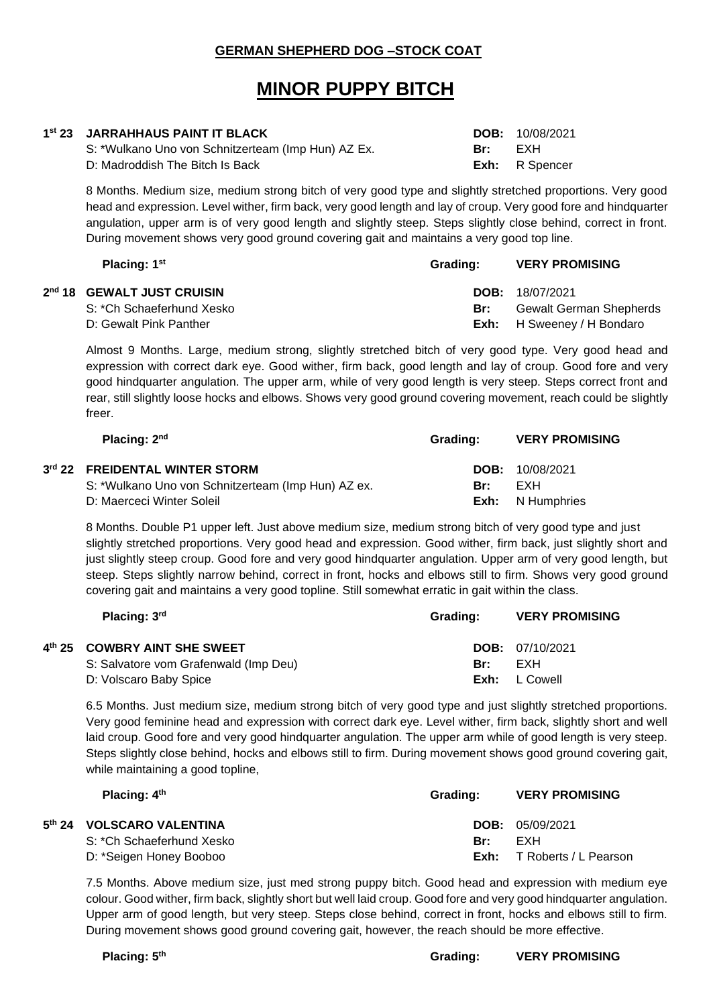### **GERMAN SHEPHERD DOG –STOCK COAT**

# **MINOR PUPPY BITCH**

| 1 <sup>st</sup> 23 JARRAHHAUS PAINT IT BLACK       |     | <b>DOB:</b> 10/08/2021 |
|----------------------------------------------------|-----|------------------------|
| S: *Wulkano Uno von Schnitzerteam (Imp Hun) AZ Ex. | Br: | FXH                    |
| D: Madroddish The Bitch Is Back                    |     | <b>Exh:</b> R Spencer  |

8 Months. Medium size, medium strong bitch of very good type and slightly stretched proportions. Very good head and expression. Level wither, firm back, very good length and lay of croup. Very good fore and hindquarter angulation, upper arm is of very good length and slightly steep. Steps slightly close behind, correct in front. During movement shows very good ground covering gait and maintains a very good top line.

| Placing: 1 <sup>st</sup>   | Grading: | <b>VERY PROMISING</b>             |
|----------------------------|----------|-----------------------------------|
| 2nd 18 GEWALT JUST CRUISIN |          | <b>DOB:</b> 18/07/2021            |
| S: *Ch Schaeferhund Xesko  | Br:      | <b>Gewalt German Shepherds</b>    |
| D: Gewalt Pink Panther     |          | <b>Exh:</b> H Sweeney / H Bondaro |

Almost 9 Months. Large, medium strong, slightly stretched bitch of very good type. Very good head and expression with correct dark eye. Good wither, firm back, good length and lay of croup. Good fore and very good hindquarter angulation. The upper arm, while of very good length is very steep. Steps correct front and rear, still slightly loose hocks and elbows. Shows very good ground covering movement, reach could be slightly freer.

| Placing: 2nd                                       | Grading: | <b>VERY PROMISING</b>   |
|----------------------------------------------------|----------|-------------------------|
| 3rd 22 FREIDENTAL WINTER STORM                     |          | <b>DOB:</b> 10/08/2021  |
| S: *Wulkano Uno von Schnitzerteam (Imp Hun) AZ ex. | Br:      | FXH                     |
| D: Maerceci Winter Soleil                          |          | <b>Exh:</b> N Humphries |

8 Months. Double P1 upper left. Just above medium size, medium strong bitch of very good type and just slightly stretched proportions. Very good head and expression. Good wither, firm back, just slightly short and just slightly steep croup. Good fore and very good hindquarter angulation. Upper arm of very good length, but steep. Steps slightly narrow behind, correct in front, hocks and elbows still to firm. Shows very good ground covering gait and maintains a very good topline. Still somewhat erratic in gait within the class.

| Placing: 3rd                          | Grading: | <b>VERY PROMISING</b>    |
|---------------------------------------|----------|--------------------------|
| 4th 25 COWBRY AINT SHE SWEET          |          | <b>DOB:</b> $07/10/2021$ |
| S: Salvatore vom Grafenwald (Imp Deu) | Br:      | EXH                      |
| D: Volscaro Baby Spice                | Exh:     | L Cowell                 |

6.5 Months. Just medium size, medium strong bitch of very good type and just slightly stretched proportions. Very good feminine head and expression with correct dark eye. Level wither, firm back, slightly short and well laid croup. Good fore and very good hindquarter angulation. The upper arm while of good length is very steep. Steps slightly close behind, hocks and elbows still to firm. During movement shows good ground covering gait, while maintaining a good topline,

| Placing: $4th$            | Grading: | <b>VERY PROMISING</b> |
|---------------------------|----------|-----------------------|
| 5th 24 VOLSCARO VALENTINA |          | DOB: 05/09/2021       |
| S: *Ch Schaeferhund Xesko | Br:      | FXH                   |
| D: *Seigen Honey Booboo   | Exh:     | T Roberts / L Pearson |

7.5 Months. Above medium size, just med strong puppy bitch. Good head and expression with medium eye colour. Good wither, firm back, slightly short but well laid croup. Good fore and very good hindquarter angulation. Upper arm of good length, but very steep. Steps close behind, correct in front, hocks and elbows still to firm. During movement shows good ground covering gait, however, the reach should be more effective.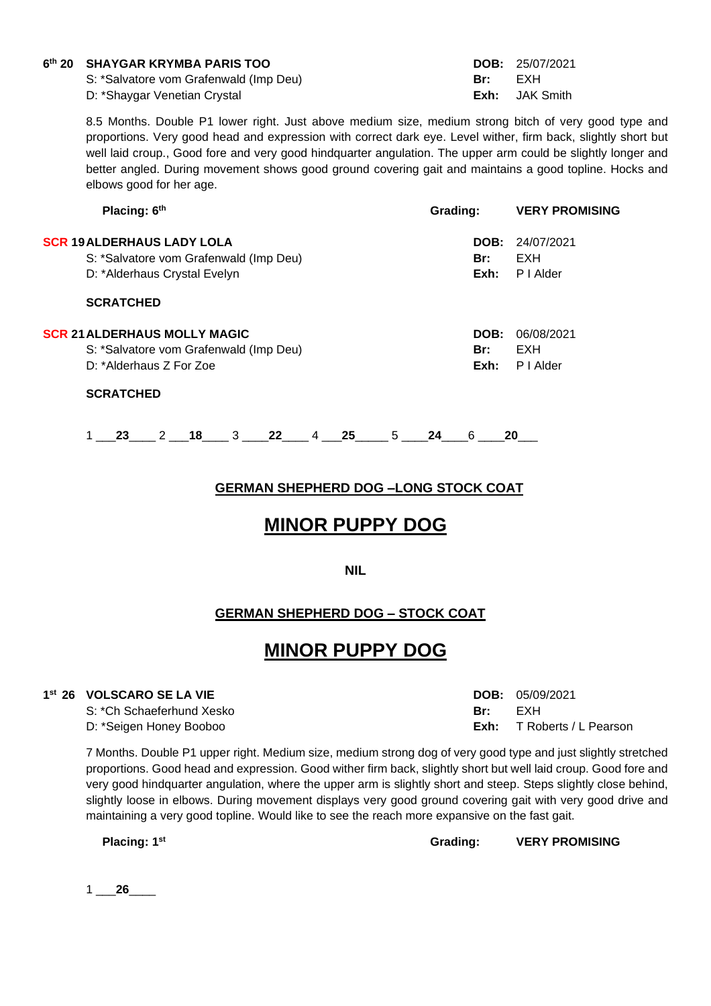#### **6 th 20 SHAYGAR KRYMBA PARIS TOO DOB:** 25/07/2021

S: \*Salvatore vom Grafenwald (Imp Deu) D: \*Shaygar Venetian Crystal

| DOB: | 25/07/2021       |
|------|------------------|
| Br:  | EXH              |
| Exh: | <b>JAK Smith</b> |

8.5 Months. Double P1 lower right. Just above medium size, medium strong bitch of very good type and proportions. Very good head and expression with correct dark eye. Level wither, firm back, slightly short but well laid croup., Good fore and very good hindquarter angulation. The upper arm could be slightly longer and better angled. During movement shows good ground covering gait and maintains a good topline. Hocks and elbows good for her age.

| Placing: 6th                           | Grading: | <b>VERY PROMISING</b> |
|----------------------------------------|----------|-----------------------|
| <b>SCR 19ALDERHAUS LADY LOLA</b>       | DOB:     | 24/07/2021            |
| S: *Salvatore vom Grafenwald (Imp Deu) | Br:      | EXH                   |
| D: *Alderhaus Crystal Evelyn           | Exh:     | P I Alder             |
| <b>SCRATCHED</b>                       |          |                       |
| <b>SCR 21 ALDERHAUS MOLLY MAGIC</b>    | DOB:     | 06/08/2021            |
| S: *Salvatore vom Grafenwald (Imp Deu) | Br:      | EXH                   |
| D: *Alderhaus Z For Zoe                | Exh:     | P I Alder             |
| <b>SCRATCHED</b>                       |          |                       |
|                                        |          |                       |

1 \_\_\_**23**\_\_\_\_ 2 \_\_\_**18**\_\_\_\_ 3 \_\_\_\_**22**\_\_\_\_ 4 \_\_\_**25**\_\_\_\_\_ 5 \_\_\_\_**24**\_\_\_\_6 \_\_\_\_**20**\_\_\_

# **GERMAN SHEPHERD DOG –LONG STOCK COAT**

# **MINOR PUPPY DOG**

**NIL**

# **GERMAN SHEPHERD DOG – STOCK COAT**

# **MINOR PUPPY DOG**

### **1 st 26 VOLSCARO SE LA VIE DOB:** 05/09/2021

S: \*Ch Schaeferhund Xesko **Br:** EXH D: \*Seigen Honey Booboo **Exh:** T Roberts / L Pearson

7 Months. Double P1 upper right. Medium size, medium strong dog of very good type and just slightly stretched proportions. Good head and expression. Good wither firm back, slightly short but well laid croup. Good fore and very good hindquarter angulation, where the upper arm is slightly short and steep. Steps slightly close behind, slightly loose in elbows. During movement displays very good ground covering gait with very good drive and maintaining a very good topline. Would like to see the reach more expansive on the fast gait.

**Placing: 1**

**st Grading: VERY PROMISING**

1 \_\_\_**26**\_\_\_\_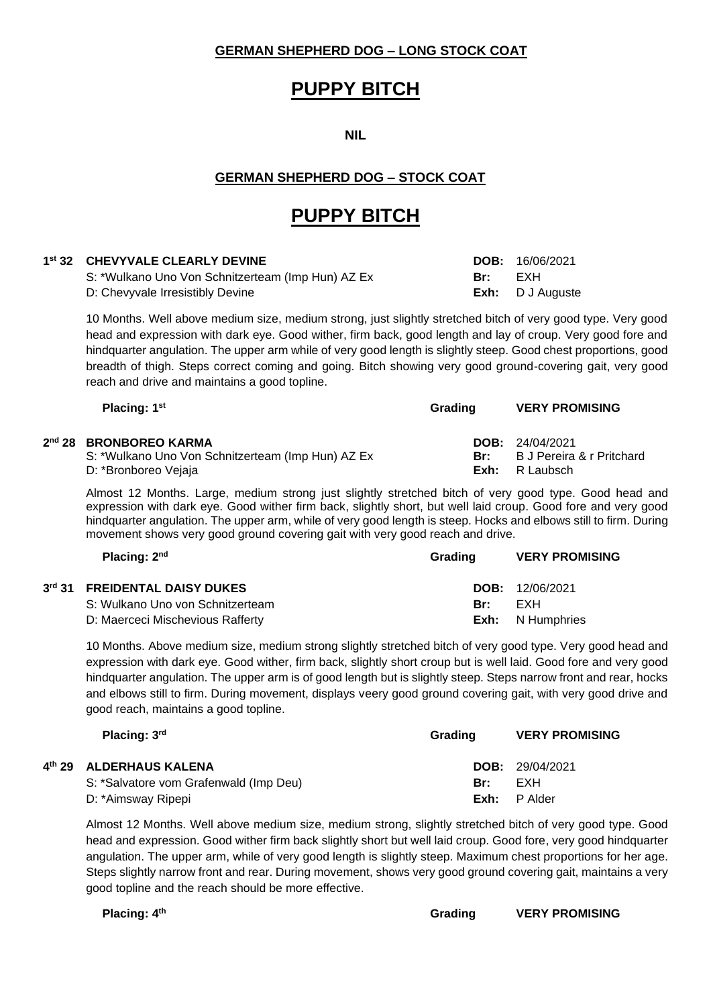### **GERMAN SHEPHERD DOG – LONG STOCK COAT**

# **PUPPY BITCH**

**NIL**

# **GERMAN SHEPHERD DOG – STOCK COAT**

# **PUPPY BITCH**

### **1 st 32 CHEVYVALE CLEARLY DEVINE DOB:** 16/06/2021

2<sup>nd</sup> 28

3<sup>rd</sup> 31

4<sup>th</sup> 29

S: \*Wulkano Uno Von Schnitzerteam (Imp Hun) AZ Ex **Br:** EXH D: Chevyvale Irresistibly Devine **Exh:** D J Auguste

10 Months. Well above medium size, medium strong, just slightly stretched bitch of very good type. Very good head and expression with dark eye. Good wither, firm back, good length and lay of croup. Very good fore and hindquarter angulation. The upper arm while of very good length is slightly steep. Good chest proportions, good breadth of thigh. Steps correct coming and going. Bitch showing very good ground-covering gait, very good reach and drive and maintains a good topline.

| Placing: 1 <sup>st</sup>                          | Grading | <b>VERY PROMISING</b>     |
|---------------------------------------------------|---------|---------------------------|
| nd 28 BRONBOREO KARMA                             |         | <b>DOB:</b> $24/04/2021$  |
| S: *Wulkano Uno Von Schnitzerteam (Imp Hun) AZ Ex | Br:     | B J Pereira & r Pritchard |
| D: *Bronboreo Vejaja                              | Exh:    | R Laubsch                 |

Almost 12 Months. Large, medium strong just slightly stretched bitch of very good type. Good head and expression with dark eye. Good wither firm back, slightly short, but well laid croup. Good fore and very good hindquarter angulation. The upper arm, while of very good length is steep. Hocks and elbows still to firm. During movement shows very good ground covering gait with very good reach and drive.

| Placing: $2nd$                   | Grading | <b>VERY PROMISING</b>   |
|----------------------------------|---------|-------------------------|
| rd 31 FREIDENTAL DAISY DUKES     |         | <b>DOB:</b> 12/06/2021  |
| S: Wulkano Uno von Schnitzerteam | Br:     | FXH                     |
| D: Maerceci Mischevious Rafferty |         | <b>Exh:</b> N Humphries |

10 Months. Above medium size, medium strong slightly stretched bitch of very good type. Very good head and expression with dark eye. Good wither, firm back, slightly short croup but is well laid. Good fore and very good hindquarter angulation. The upper arm is of good length but is slightly steep. Steps narrow front and rear, hocks and elbows still to firm. During movement, displays veery good ground covering gait, with very good drive and good reach, maintains a good topline.

| Placing: 3rd                           | Grading | <b>VERY PROMISING</b>  |
|----------------------------------------|---------|------------------------|
| <sup>th</sup> 29 ALDERHAUS KALENA      |         | <b>DOB:</b> 29/04/2021 |
| S: *Salvatore vom Grafenwald (Imp Deu) | Br:     | EXH                    |
| D: *Aimsway Ripepi                     | Exh:    | P Alder                |

Almost 12 Months. Well above medium size, medium strong, slightly stretched bitch of very good type. Good head and expression. Good wither firm back slightly short but well laid croup. Good fore, very good hindquarter angulation. The upper arm, while of very good length is slightly steep. Maximum chest proportions for her age. Steps slightly narrow front and rear. During movement, shows very good ground covering gait, maintains a very good topline and the reach should be more effective.

| Placing: 4 <sup>th</sup> | Grading | <b>VERY PROMISING</b> |
|--------------------------|---------|-----------------------|
|                          |         |                       |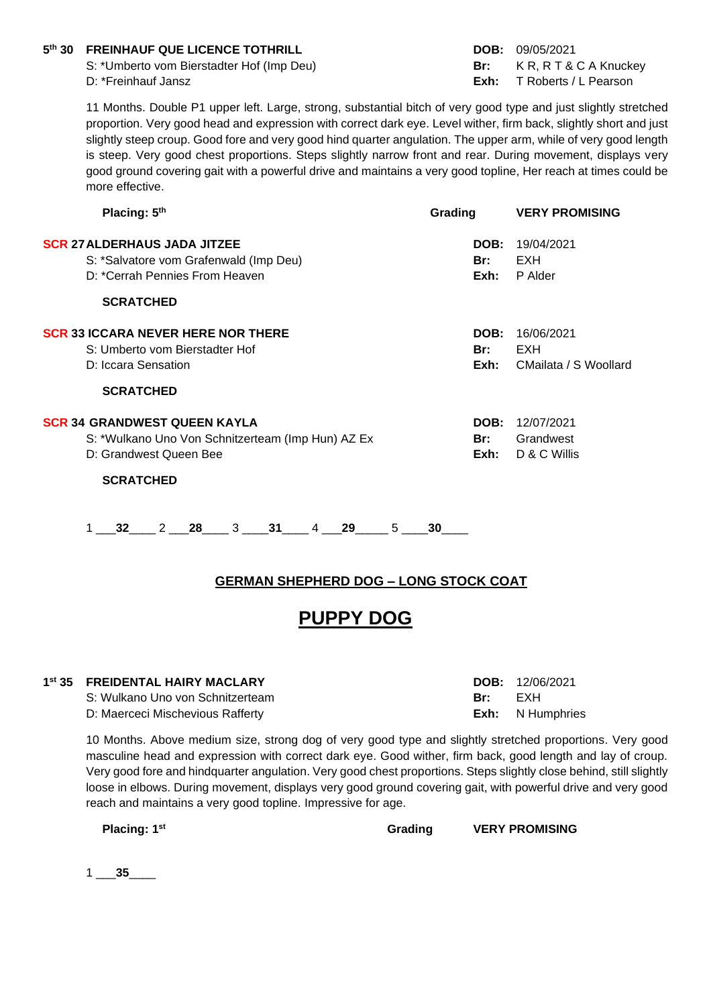### **5 th 30 FREINHAUF QUE LICENCE TOTHRILL DOB:** 09/05/2021

S: \*Umberto vom Bierstadter Hof (Imp Deu) **Br:** K R, R T & C A Knuckey

D: \*Freinhauf Jansz **Exh:** T Roberts / L Pearson

11 Months. Double P1 upper left. Large, strong, substantial bitch of very good type and just slightly stretched proportion. Very good head and expression with correct dark eye. Level wither, firm back, slightly short and just slightly steep croup. Good fore and very good hind quarter angulation. The upper arm, while of very good length is steep. Very good chest proportions. Steps slightly narrow front and rear. During movement, displays very good ground covering gait with a powerful drive and maintains a very good topline, Her reach at times could be more effective.

| Placing: 5th                                                                                                    | Grading             | <b>VERY PROMISING</b>                      |
|-----------------------------------------------------------------------------------------------------------------|---------------------|--------------------------------------------|
| <b>SCR 27 ALDERHAUS JADA JITZEE</b><br>S: *Salvatore vom Grafenwald (Imp Deu)<br>D: *Cerrah Pennies From Heaven | DOB:<br>Br:<br>Exh: | 19/04/2021<br>EXH<br>P Alder               |
| <b>SCRATCHED</b>                                                                                                |                     |                                            |
| <b>SCR 33 ICCARA NEVER HERE NOR THERE</b><br>S: Umberto vom Bierstadter Hof<br>D: Iccara Sensation              | DOB:<br>Br:<br>Exh: | 16/06/2021<br>EXH<br>CMailata / S Woollard |
| <b>SCRATCHED</b>                                                                                                |                     |                                            |
| SCR 34 GRANDWEST QUEEN KAYLA<br>S: *Wulkano Uno Von Schnitzerteam (Imp Hun) AZ Ex<br>D: Grandwest Queen Bee     | DOB:<br>Br:<br>Exh: | 12/07/2021<br>Grandwest<br>D & C Willis    |
| <b>SCRATCHED</b>                                                                                                |                     |                                            |

1 \_\_\_**32**\_\_\_\_ 2 \_\_\_**28**\_\_\_\_ 3 \_\_\_\_**31**\_\_\_\_ 4 \_\_\_**29**\_\_\_\_\_ 5 \_\_\_\_**30**\_\_\_\_

# **GERMAN SHEPHERD DOG – LONG STOCK COAT**

# **PUPPY DOG**

### **1 st 35 FREIDENTAL HAIRY MACLARY DOB:** 12/06/2021

S: Wulkano Uno von Schnitzerteam **Br:** EXH D: Maerceci Mischevious Rafferty **Exh:** N Humphries

10 Months. Above medium size, strong dog of very good type and slightly stretched proportions. Very good masculine head and expression with correct dark eye. Good wither, firm back, good length and lay of croup. Very good fore and hindquarter angulation. Very good chest proportions. Steps slightly close behind, still slightly loose in elbows. During movement, displays very good ground covering gait, with powerful drive and very good reach and maintains a very good topline. Impressive for age.

**Placing: 1st Grading VERY PROMISING**

1 \_\_\_**35**\_\_\_\_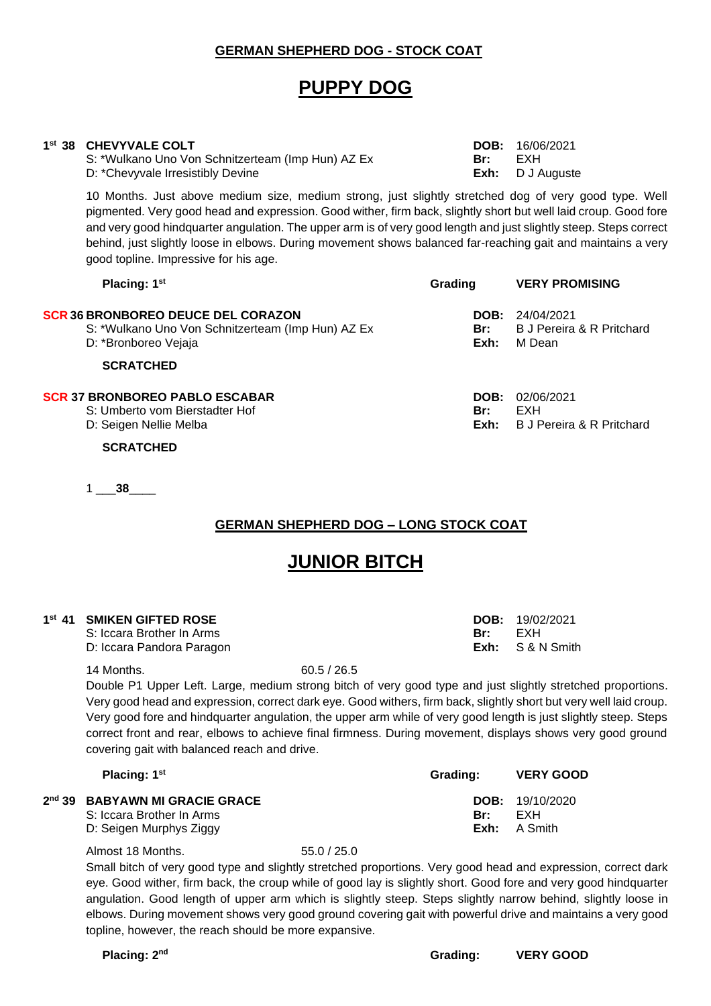### **GERMAN SHEPHERD DOG - STOCK COAT**

# **PUPPY DOG**

### **1 st 38 CHEVYVALE COLT DOB:** 16/06/2021

S: \*Wulkano Uno Von Schnitzerteam (Imp Hun) AZ Ex **Br: Br:** EXH D: \*Chevyvale Irresistibly Devine **Exh:** D J Auguste

10 Months. Just above medium size, medium strong, just slightly stretched dog of very good type. Well pigmented. Very good head and expression. Good wither, firm back, slightly short but well laid croup. Good fore and very good hindquarter angulation. The upper arm is of very good length and just slightly steep. Steps correct behind, just slightly loose in elbows. During movement shows balanced far-reaching gait and maintains a very good topline. Impressive for his age.

| Placing: 1 <sup>st</sup>                                                                                        | Grading             | <b>VERY PROMISING</b>                             |
|-----------------------------------------------------------------------------------------------------------------|---------------------|---------------------------------------------------|
| SCR 36 BRONBOREO DEUCE DEL CORAZON<br>S: *Wulkano Uno Von Schnitzerteam (Imp Hun) AZ Ex<br>D: *Bronboreo Vejaja | DOB:<br>Br:<br>Exh: | 24/04/2021<br>B J Pereira & R Pritchard<br>M Dean |
| <b>SCRATCHED</b>                                                                                                |                     |                                                   |
| SCR 37 BRONBOREO PABLO ESCABAR<br>S: Umberto vom Bierstadter Hof<br>D: Seigen Nellie Melba                      | DOB:<br>Br:<br>Exh: | 02/06/2021<br>EXH<br>B J Pereira & R Pritchard    |
| <b>SCRATCHED</b>                                                                                                |                     |                                                   |

1 \_\_\_**38**\_\_\_\_

# **GERMAN SHEPHERD DOG – LONG STOCK COAT**

# **JUNIOR BITCH**

### **1 st 41 SMIKEN GIFTED ROSE DOB:** 19/02/2021

S: Iccara Brother In Arms **Br:** EXH D: Iccara Pandora Paragon **Exh:** S & N Smith

14 Months. 60.5 / 26.5

Double P1 Upper Left. Large, medium strong bitch of very good type and just slightly stretched proportions. Very good head and expression, correct dark eye. Good withers, firm back, slightly short but very well laid croup. Very good fore and hindquarter angulation, the upper arm while of very good length is just slightly steep. Steps correct front and rear, elbows to achieve final firmness. During movement, displays shows very good ground covering gait with balanced reach and drive.

| Placing: 1 <sup>st</sup>                                                               | Grading:      | <b>VERY GOOD</b>                           |
|----------------------------------------------------------------------------------------|---------------|--------------------------------------------|
| 2nd 39 BABYAWN MI GRACIE GRACE<br>S: Iccara Brother In Arms<br>D: Seigen Murphys Ziggy | Br:<br>Exh: . | <b>DOB:</b> $19/10/2020$<br>FXH<br>A Smith |

Almost 18 Months. 55.0 / 25.0

Small bitch of very good type and slightly stretched proportions. Very good head and expression, correct dark eye. Good wither, firm back, the croup while of good lay is slightly short. Good fore and very good hindquarter angulation. Good length of upper arm which is slightly steep. Steps slightly narrow behind, slightly loose in elbows. During movement shows very good ground covering gait with powerful drive and maintains a very good topline, however, the reach should be more expansive.

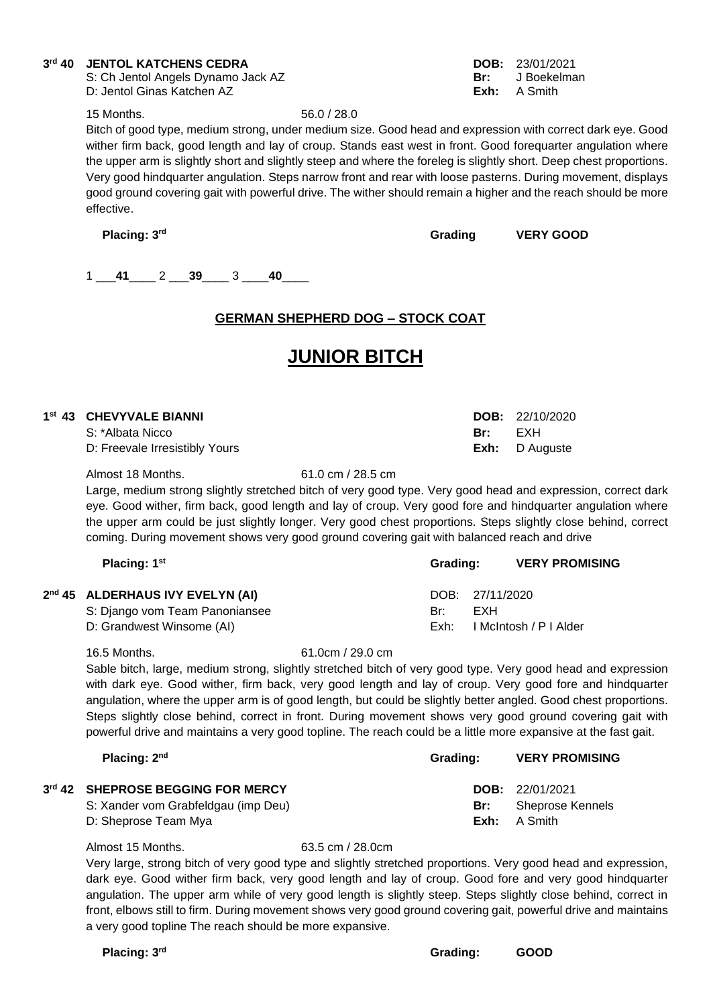#### 3<sup>rd</sup> 40 **rd 1000 EXATCHENS CEDRA DOB:** 23/01/2021<br>
S: Ch Jentol Angels Dynamo Jack AZ<br> **DOB:** 23/01/2021

S: Ch Jentol Angels Dynamo Jack AZ **Br: Br: Br: Br: Br: Br: Br: Br: Br: Br: Br: Br: Br: Br: Br: Br: Br: Br: Br: Br: Br: Br: Br: Br: Br: Br: Br: Br: Br: Br: Br:** D: Jentol Ginas Katchen AZ **Exh:** A Smith

15 Months. 56.0 / 28.0

Bitch of good type, medium strong, under medium size. Good head and expression with correct dark eye. Good wither firm back, good length and lay of croup. Stands east west in front. Good forequarter angulation where the upper arm is slightly short and slightly steep and where the foreleg is slightly short. Deep chest proportions. Very good hindquarter angulation. Steps narrow front and rear with loose pasterns. During movement, displays good ground covering gait with powerful drive. The wither should remain a higher and the reach should be more effective.

**Placing: 3**

**rd Grading VERY GOOD**

1 \_\_\_**41**\_\_\_\_ 2 \_\_\_**39**\_\_\_\_ 3 \_\_\_\_**40**\_\_\_\_

# **GERMAN SHEPHERD DOG – STOCK COAT**

# **JUNIOR BITCH**

| <sup>st</sup> 43 CHEVYVALE BIANNI |     | <b>DOB:</b> $22/10/2020$ |
|-----------------------------------|-----|--------------------------|
| S: *Albata Nicco                  | Br: | FXH                      |
| D: Freevale Irresistibly Yours    |     | <b>Exh:</b> D Auguste    |

Almost 18 Months. 61.0 cm / 28.5 cm

**1**

Large, medium strong slightly stretched bitch of very good type. Very good head and expression, correct dark eye. Good wither, firm back, good length and lay of croup. Very good fore and hindquarter angulation where the upper arm could be just slightly longer. Very good chest proportions. Steps slightly close behind, correct coming. During movement shows very good ground covering gait with balanced reach and drive

| Placing: $1st$                   | Grading: |                 | <b>VERY PROMISING</b>  |
|----------------------------------|----------|-----------------|------------------------|
| 2nd 45 ALDERHAUS IVY EVELYN (AI) |          | DOB: 27/11/2020 |                        |
| S: Django vom Team Panoniansee   | Br:      | FXH             |                        |
| D: Grandwest Winsome (AI)        | Exh:     |                 | I McIntosh / P I Alder |

16.5 Months. 61.0cm / 29.0 cm

Sable bitch, large, medium strong, slightly stretched bitch of very good type. Very good head and expression with dark eye. Good wither, firm back, very good length and lay of croup. Very good fore and hindquarter angulation, where the upper arm is of good length, but could be slightly better angled. Good chest proportions. Steps slightly close behind, correct in front. During movement shows very good ground covering gait with powerful drive and maintains a very good topline. The reach could be a little more expansive at the fast gait.

| Placing: 2 <sup>nd</sup>            | Grading: | <b>VERY PROMISING</b>    |
|-------------------------------------|----------|--------------------------|
| 3rd 42 SHEPROSE BEGGING FOR MERCY   |          | <b>DOB:</b> $22/01/2021$ |
| S: Xander vom Grabfeldgau (imp Deu) | Br:      | Sheprose Kennels         |
| D: Sheprose Team Mya                |          | <b>Exh:</b> A Smith      |

Almost 15 Months. 63.5 cm / 28.0cm

Very large, strong bitch of very good type and slightly stretched proportions. Very good head and expression, dark eye. Good wither firm back, very good length and lay of croup. Good fore and very good hindquarter angulation. The upper arm while of very good length is slightly steep. Steps slightly close behind, correct in front, elbows still to firm. During movement shows very good ground covering gait, powerful drive and maintains a very good topline The reach should be more expansive.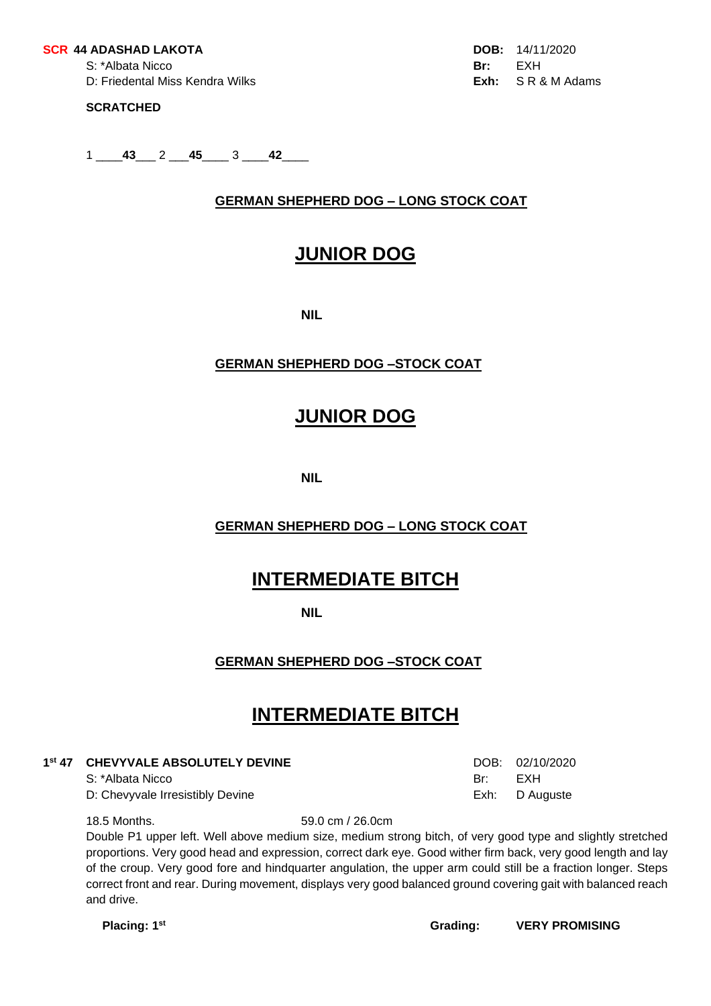#### **SCR 44 ADASHAD LAKOTA DOB:** 14/11/2020

S: \*Albata Nicco **Br:** EXH D: Friedental Miss Kendra Wilks **Exh:** S R & M Adams

### **SCRATCHED**

1 \_\_\_\_**43**\_\_\_ 2 \_\_\_**45**\_\_\_\_ 3 \_\_\_\_**42**\_\_\_\_

# **GERMAN SHEPHERD DOG – LONG STOCK COAT**

# **JUNIOR DOG**

**NIL**

# **GERMAN SHEPHERD DOG –STOCK COAT**

# **JUNIOR DOG**

**NIL**

# **GERMAN SHEPHERD DOG – LONG STOCK COAT**

# **INTERMEDIATE BITCH**

**NIL**

# **GERMAN SHEPHERD DOG –STOCK COAT**

# **INTERMEDIATE BITCH**

#### **1 st 47 CHEVYVALE ABSOLUTELY DEVINE** DOB: 02/10/2020

S: \*Albata Nicco Br: EXH

D: Chevyvale Irresistibly Devine **Exh:** D Auguste Exh: D Auguste

18.5 Months. 59.0 cm / 26.0cm

Double P1 upper left. Well above medium size, medium strong bitch, of very good type and slightly stretched proportions. Very good head and expression, correct dark eye. Good wither firm back, very good length and lay of the croup. Very good fore and hindquarter angulation, the upper arm could still be a fraction longer. Steps correct front and rear. During movement, displays very good balanced ground covering gait with balanced reach and drive.

**Placing: 1**

**st Grading: VERY PROMISING**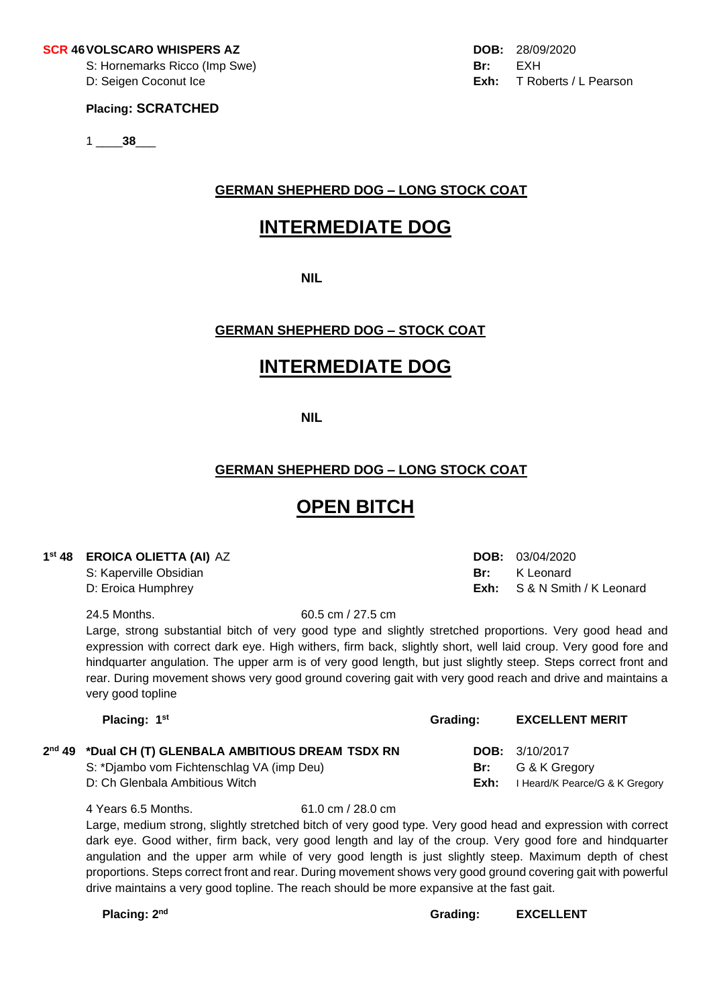#### **SCR 46VOLSCARO WHISPERS AZ DOB:** 28/09/2020

S: Hornemarks Ricco (Imp Swe) **Br:** EXH

### **Placing: SCRATCHED**

1 \_\_\_\_**38**\_\_\_

### **GERMAN SHEPHERD DOG – LONG STOCK COAT**

# **INTERMEDIATE DOG**

**NIL**

# **GERMAN SHEPHERD DOG – STOCK COAT**

# **INTERMEDIATE DOG**

**NIL**

# **GERMAN SHEPHERD DOG – LONG STOCK COAT**

# **OPEN BITCH**

### **1 st 48 EROICA OLIETTA (AI)** AZ **DOB:** 03/04/2020

S: Kaperville Obsidian **Britannic Communist Communist Communist Communist Communist Communist Communist Communist Communist Communist Communist Communist Communist Communist Communist Communist Communist Communist Communis** D: Eroica Humphrey **Exh:** S & N Smith / K Leonard

24.5 Months. 60.5 cm / 27.5 cm

Large, strong substantial bitch of very good type and slightly stretched proportions. Very good head and expression with correct dark eye. High withers, firm back, slightly short, well laid croup. Very good fore and hindquarter angulation. The upper arm is of very good length, but just slightly steep. Steps correct front and rear. During movement shows very good ground covering gait with very good reach and drive and maintains a very good topline

| Placing: 1 <sup>st</sup>                                                                                                            | Grading:    | <b>EXCELLENT MERIT</b>                                                     |
|-------------------------------------------------------------------------------------------------------------------------------------|-------------|----------------------------------------------------------------------------|
| 2nd 49 *Dual CH (T) GLENBALA AMBITIOUS DREAM TSDX RN<br>S: *Djambo vom Fichtenschlag VA (imp Deu)<br>D: Ch Glenbala Ambitious Witch | Br:<br>Exh: | <b>DOB:</b> $3/10/2017$<br>G & K Greaorv<br>I Heard/K Pearce/G & K Gregory |
|                                                                                                                                     |             |                                                                            |

4 Years 6.5 Months. 61.0 cm / 28.0 cm Large, medium strong, slightly stretched bitch of very good type. Very good head and expression with correct dark eye. Good wither, firm back, very good length and lay of the croup. Very good fore and hindquarter angulation and the upper arm while of very good length is just slightly steep. Maximum depth of chest proportions. Steps correct front and rear. During movement shows very good ground covering gait with powerful drive maintains a very good topline. The reach should be more expansive at the fast gait.

Placing: 2<sup>nd</sup>

 **Grading: EXCELLENT**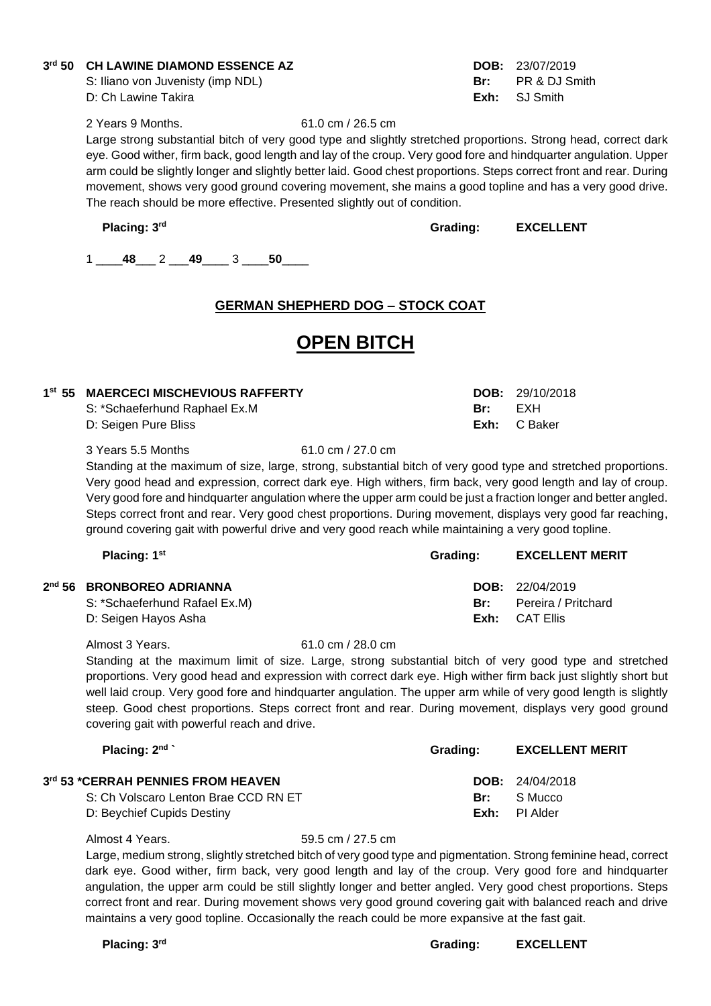### **3 rd 50 CH LAWINE DIAMOND ESSENCE AZ DOB:** 23/07/2019

S: Iliano von Juvenisty (imp NDL) **Br:** PR & DJ Smith D: Ch Lawine Takira **Exh:** SJ Smith

2 Years 9 Months. 61.0 cm / 26.5 cm

Large strong substantial bitch of very good type and slightly stretched proportions. Strong head, correct dark eye. Good wither, firm back, good length and lay of the croup. Very good fore and hindquarter angulation. Upper arm could be slightly longer and slightly better laid. Good chest proportions. Steps correct front and rear. During movement, shows very good ground covering movement, she mains a good topline and has a very good drive. The reach should be more effective. Presented slightly out of condition.

**Placing: 3**

**rd Grading: EXCELLENT**

1 \_\_\_\_**48**\_\_\_ 2 \_\_\_**49**\_\_\_\_ 3 \_\_\_\_**50**\_\_\_\_

# **GERMAN SHEPHERD DOG – STOCK COAT**

# **OPEN BITCH**

| 1st 55 MAERCECI MISCHEVIOUS RAFFERTY |     | <b>DOB:</b> $29/10/2018$ |
|--------------------------------------|-----|--------------------------|
| S: *Schaeferhund Raphael Ex.M        | Br: | FXH                      |
| D: Seigen Pure Bliss                 |     | Exh: C Baker             |

3 Years 5.5 Months 61.0 cm / 27.0 cm

Standing at the maximum of size, large, strong, substantial bitch of very good type and stretched proportions. Very good head and expression, correct dark eye. High withers, firm back, very good length and lay of croup. Very good fore and hindquarter angulation where the upper arm could be just a fraction longer and better angled. Steps correct front and rear. Very good chest proportions. During movement, displays very good far reaching, ground covering gait with powerful drive and very good reach while maintaining a very good topline.

| Placing: 1 <sup>st</sup>      | Grading: | <b>EXCELLENT MERIT</b>   |
|-------------------------------|----------|--------------------------|
| 2nd 56 BRONBOREO ADRIANNA     |          | <b>DOB:</b> $22/04/2019$ |
| S: *Schaeferhund Rafael Ex.M) | Br:      | Pereira / Pritchard      |
| D: Seigen Hayos Asha          |          | <b>Exh:</b> CAT Ellis    |

#### Almost 3 Years. 61.0 cm / 28.0 cm

Standing at the maximum limit of size. Large, strong substantial bitch of very good type and stretched proportions. Very good head and expression with correct dark eye. High wither firm back just slightly short but well laid croup. Very good fore and hindquarter angulation. The upper arm while of very good length is slightly steep. Good chest proportions. Steps correct front and rear. During movement, displays very good ground covering gait with powerful reach and drive.

| Placing: $2nd$                       | Grading: | <b>EXCELLENT MERIT</b>   |
|--------------------------------------|----------|--------------------------|
| 3rd 53 *CERRAH PENNIES FROM HEAVEN   |          | <b>DOB:</b> $24/04/2018$ |
| S: Ch Volscaro Lenton Brae CCD RN ET | Br:      | - S Mucco                |
| D: Beychief Cupids Destiny           |          | <b>Exh:</b> PI Alder     |

Almost 4 Years. 59.5 cm / 27.5 cm

Large, medium strong, slightly stretched bitch of very good type and pigmentation. Strong feminine head, correct dark eye. Good wither, firm back, very good length and lay of the croup. Very good fore and hindquarter angulation, the upper arm could be still slightly longer and better angled. Very good chest proportions. Steps correct front and rear. During movement shows very good ground covering gait with balanced reach and drive maintains a very good topline. Occasionally the reach could be more expansive at the fast gait.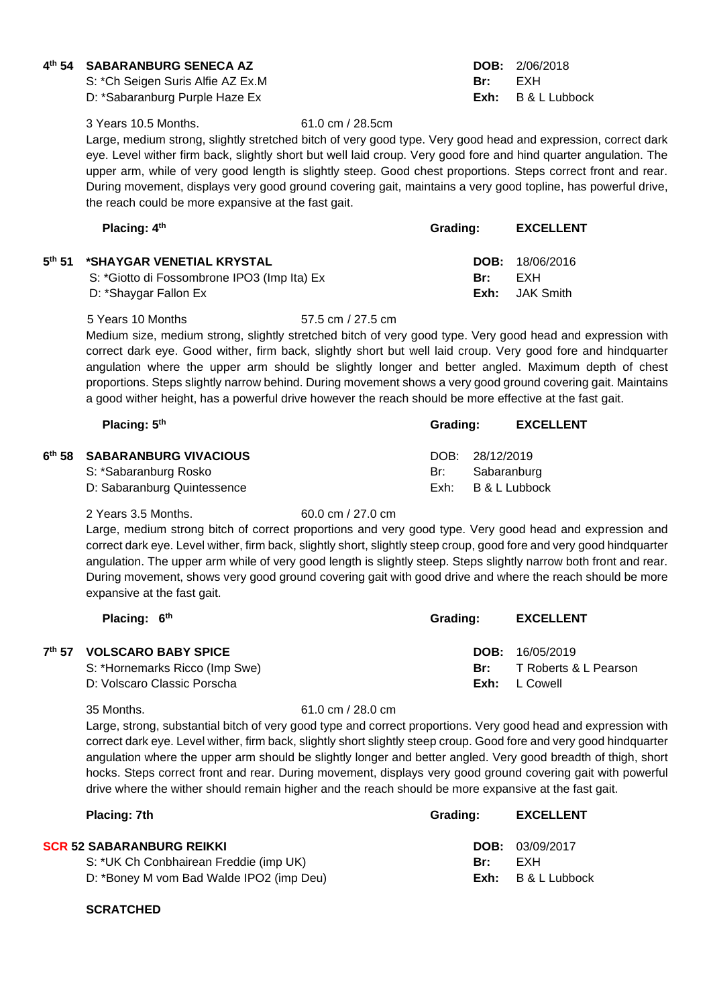### **4 th 54 SABARANBURG SENECA AZ DOB:** 2/06/2018

S: \*Ch Seigen Suris Alfie AZ Ex.M **Br:** EXH D: \*Sabaranburg Purple Haze Ex **Exh:** B & L Lubbock

3 Years 10.5 Months. 61.0 cm / 28.5cm

Large, medium strong, slightly stretched bitch of very good type. Very good head and expression, correct dark eye. Level wither firm back, slightly short but well laid croup. Very good fore and hind quarter angulation. The upper arm, while of very good length is slightly steep. Good chest proportions. Steps correct front and rear. During movement, displays very good ground covering gait, maintains a very good topline, has powerful drive, the reach could be more expansive at the fast gait.

| Placing: $4th$                              | Grading: | <b>EXCELLENT</b>         |
|---------------------------------------------|----------|--------------------------|
| 5th 51 *SHAYGAR VENETIAL KRYSTAL            |          | <b>DOB:</b> $18/06/2016$ |
| S: *Giotto di Fossombrone IPO3 (Imp Ita) Ex | Br:      | FXH                      |
| D: *Shaygar Fallon Ex                       | Exh:     | JAK Smith                |

5 Years 10 Months 57.5 cm / 27.5 cm

Medium size, medium strong, slightly stretched bitch of very good type. Very good head and expression with correct dark eye. Good wither, firm back, slightly short but well laid croup. Very good fore and hindquarter angulation where the upper arm should be slightly longer and better angled. Maximum depth of chest proportions. Steps slightly narrow behind. During movement shows a very good ground covering gait. Maintains a good wither height, has a powerful drive however the reach should be more effective at the fast gait.

| Placing: $5th$                                                  | Grading: |                                | <b>EXCELLENT</b> |
|-----------------------------------------------------------------|----------|--------------------------------|------------------|
| <sup>th</sup> 58 SABARANBURG VIVACIOUS<br>S: *Sabaranburg Rosko | Br:      | DOB: 28/12/2019<br>Sabaranburg |                  |
| D: Sabaranburg Quintessence                                     | Exh:     |                                | B & L Lubbock    |

2 Years 3.5 Months. 60.0 cm / 27.0 cm

**6**

Large, medium strong bitch of correct proportions and very good type. Very good head and expression and correct dark eye. Level wither, firm back, slightly short, slightly steep croup, good fore and very good hindquarter angulation. The upper arm while of very good length is slightly steep. Steps slightly narrow both front and rear. During movement, shows very good ground covering gait with good drive and where the reach should be more expansive at the fast gait.

| Placing: $6th$                 | Grading: | <b>EXCELLENT</b>         |
|--------------------------------|----------|--------------------------|
| 7th 57 VOLSCARO BABY SPICE     |          | <b>DOB:</b> $16/05/2019$ |
| S: *Hornemarks Ricco (Imp Swe) | Br:      | T Roberts & L Pearson    |
| D: Volscaro Classic Porscha    | Exh:     | L Cowell                 |

#### 35 Months. 61.0 cm / 28.0 cm

Large, strong, substantial bitch of very good type and correct proportions. Very good head and expression with correct dark eye. Level wither, firm back, slightly short slightly steep croup. Good fore and very good hindquarter angulation where the upper arm should be slightly longer and better angled. Very good breadth of thigh, short hocks. Steps correct front and rear. During movement, displays very good ground covering gait with powerful drive where the wither should remain higher and the reach should be more expansive at the fast gait.

| Placing: 7th                             | Grading: | <b>EXCELLENT</b> |
|------------------------------------------|----------|------------------|
| <b>SCR 52 SABARANBURG REIKKI</b>         |          | DOB: 03/09/2017  |
| S: *UK Ch Conbhairean Freddie (imp UK)   | Br:      | FXH              |
| D: *Boney M vom Bad Walde IPO2 (imp Deu) | Exh:     | B & L Lubbock    |

### **SCRATCHED**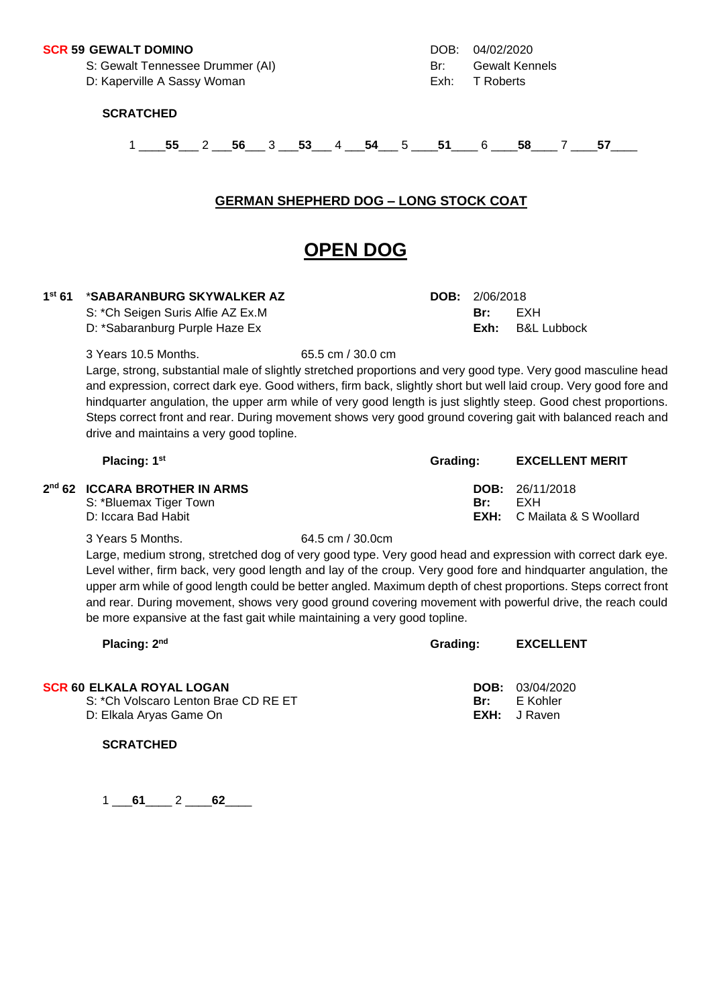#### **SCR 59 GEWALT DOMINO** DOB: 04/02/2020

S: Gewalt Tennessee Drummer (AI) and Br: Gewalt Kennels

D: Kaperville A Sassy Woman **Exh:** T Roberts

#### **SCRATCHED**

1 \_\_\_\_**55**\_\_\_ 2 \_\_\_**56**\_\_\_ 3 \_\_\_**53**\_\_\_ 4 \_\_\_**54**\_\_\_ 5 \_\_\_\_**51**\_\_\_\_ 6 \_\_\_\_**58**\_\_\_\_ 7 \_\_\_\_**57**\_\_\_\_

### **GERMAN SHEPHERD DOG – LONG STOCK COAT**

# **OPEN DOG**

#### $1^{st} 61$ **st 61** \***SABARANBURG SKYWALKER AZ DOB:** 2/06/2018

S: \*Ch Seigen Suris Alfie AZ Ex.M **Br:** EXH

D: \*Sabaranburg Purple Haze Ex **Exh:** B&L Lubbock

3 Years 10.5 Months. 65.5 cm / 30.0 cm

Large, strong, substantial male of slightly stretched proportions and very good type. Very good masculine head and expression, correct dark eye. Good withers, firm back, slightly short but well laid croup. Very good fore and hindquarter angulation, the upper arm while of very good length is just slightly steep. Good chest proportions. Steps correct front and rear. During movement shows very good ground covering gait with balanced reach and drive and maintains a very good topline.

| Placing: 1 <sup>st</sup>                                            | Grading: | <b>EXCELLENT MERIT</b>             |
|---------------------------------------------------------------------|----------|------------------------------------|
| 2 <sup>nd</sup> 62 ICCARA BROTHER IN ARMS<br>S: *Bluemax Tiger Town | Br.      | <b>DOB:</b> $26/11/2018$<br>FXH    |
| D: Iccara Bad Habit                                                 |          | <b>EXH:</b> C Mailata & S Woollard |

#### 3 Years 5 Months. 64.5 cm / 30.0cm

Large, medium strong, stretched dog of very good type. Very good head and expression with correct dark eye. Level wither, firm back, very good length and lay of the croup. Very good fore and hindquarter angulation, the upper arm while of good length could be better angled. Maximum depth of chest proportions. Steps correct front and rear. During movement, shows very good ground covering movement with powerful drive, the reach could be more expansive at the fast gait while maintaining a very good topline.

| Placing: 2 <sup>nd</sup>             | Grading: | <b>EXCELLENT</b>    |
|--------------------------------------|----------|---------------------|
| <b>SCR 60 ELKALA ROYAL LOGAN</b>     |          | DOB: 03/04/2020     |
| S: *Ch Volscaro Lenton Brae CD RE ET | Br:      | E Kohler            |
| D: Elkala Aryas Game On              |          | <b>EXH:</b> J Raven |

**SCRATCHED**

1 \_\_\_**61**\_\_\_\_ 2 \_\_\_\_**62**\_\_\_\_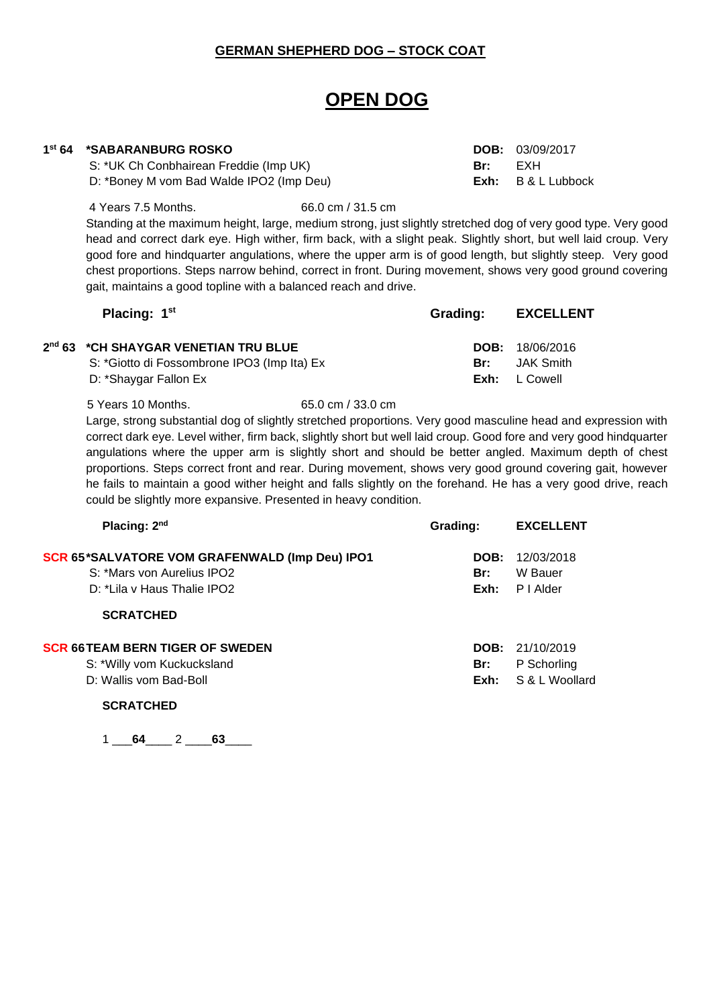### **GERMAN SHEPHERD DOG – STOCK COAT**

# **OPEN DOG**

# **1 st 64 \*SABARANBURG ROSKO DOB:** 03/09/2017

S: \*UK Ch Conbhairean Freddie (Imp UK) **Br:** EXH D: \*Boney M vom Bad Walde IPO2 (Imp Deu) **Exh:** B & L Lubbock

4 Years 7.5 Months. 66.0 cm / 31.5 cm

Standing at the maximum height, large, medium strong, just slightly stretched dog of very good type. Very good head and correct dark eye. High wither, firm back, with a slight peak. Slightly short, but well laid croup. Very good fore and hindquarter angulations, where the upper arm is of good length, but slightly steep. Very good chest proportions. Steps narrow behind, correct in front. During movement, shows very good ground covering gait, maintains a good topline with a balanced reach and drive.

| Placing: 1 <sup>st</sup>                    | Grading: | <b>EXCELLENT</b>         |
|---------------------------------------------|----------|--------------------------|
| 2nd 63 *CH SHAYGAR VENETIAN TRU BLUE        |          | <b>DOB:</b> $18/06/2016$ |
| S: *Giotto di Fossombrone IPO3 (Imp Ita) Ex | Br:      | JAK Smith                |
| D: *Shaygar Fallon Ex                       |          | $Exh: L$ Cowell          |

5 Years 10 Months. 65.0 cm / 33.0 cm Large, strong substantial dog of slightly stretched proportions. Very good masculine head and expression with correct dark eye. Level wither, firm back, slightly short but well laid croup. Good fore and very good hindquarter angulations where the upper arm is slightly short and should be better angled. Maximum depth of chest proportions. Steps correct front and rear. During movement, shows very good ground covering gait, however he fails to maintain a good wither height and falls slightly on the forehand. He has a very good drive, reach could be slightly more expansive. Presented in heavy condition.

| Placing: 2 <sup>nd</sup>                                                                       | Grading:    | <b>EXCELLENT</b>                                 |
|------------------------------------------------------------------------------------------------|-------------|--------------------------------------------------|
| <b>SCR 65*SALVATORE VOM GRAFENWALD (Imp Deu) IPO1</b><br>S: *Mars von Aurelius IPO2            | Br:         | <b>DOB:</b> $12/03/2018$<br>W Bauer              |
| D: *Lila y Haus Thalie IPO2                                                                    | Exh:        | P I Alder                                        |
| <b>SCRATCHED</b>                                                                               |             |                                                  |
| <b>SCR 66TEAM BERN TIGER OF SWEDEN</b><br>S: *Willy vom Kuckucksland<br>D: Wallis vom Bad-Boll | Br:<br>Exh: | DOB: 21/10/2019<br>P Schorling<br>S & L Woollard |

**SCRATCHED**

1 64 2 63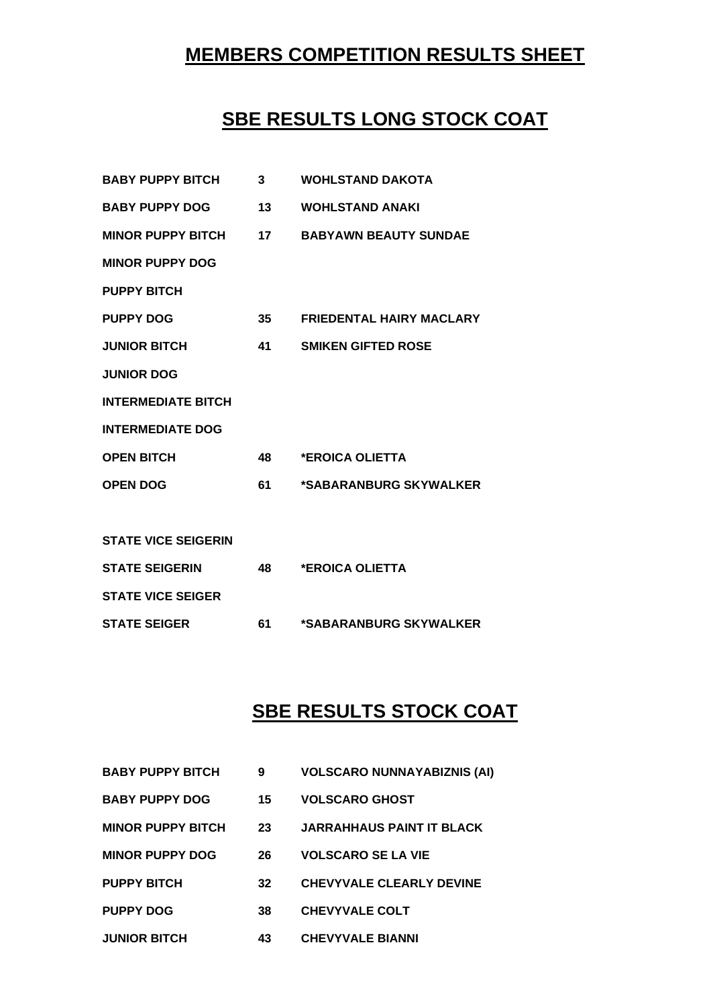# **MEMBERS COMPETITION RESULTS SHEET**

# **SBE RESULTS LONG STOCK COAT**

| <b>BABY PUPPY BITCH</b>    | 3  | <b>WOHLSTAND DAKOTA</b>         |
|----------------------------|----|---------------------------------|
| <b>BABY PUPPY DOG</b>      | 13 | <b>WOHLSTAND ANAKI</b>          |
| <b>MINOR PUPPY BITCH</b>   | 17 | <b>BABYAWN BEAUTY SUNDAE</b>    |
| <b>MINOR PUPPY DOG</b>     |    |                                 |
| <b>PUPPY BITCH</b>         |    |                                 |
| <b>PUPPY DOG</b>           | 35 | <b>FRIEDENTAL HAIRY MACLARY</b> |
| <b>JUNIOR BITCH</b>        | 41 | <b>SMIKEN GIFTED ROSE</b>       |
| <b>JUNIOR DOG</b>          |    |                                 |
| <b>INTERMEDIATE BITCH</b>  |    |                                 |
| <b>INTERMEDIATE DOG</b>    |    |                                 |
| <b>OPEN BITCH</b>          | 48 | *EROICA OLIETTA                 |
| <b>OPEN DOG</b>            | 61 | *SABARANBURG SKYWALKER          |
|                            |    |                                 |
| <b>STATE VICE SEIGERIN</b> |    |                                 |
| <b>STATE SEIGERIN</b>      | 48 | *EROICA OLIETTA                 |
| <b>STATE VICE SEIGER</b>   |    |                                 |
| <b>STATE SEIGER</b>        | 61 | *SABARANBURG SKYWALKER          |

# **SBE RESULTS STOCK COAT**

| <b>BABY PUPPY BITCH</b>  | 9  | <b>VOLSCARO NUNNAYABIZNIS (AI)</b> |
|--------------------------|----|------------------------------------|
| <b>BABY PUPPY DOG</b>    | 15 | <b>VOLSCARO GHOST</b>              |
| <b>MINOR PUPPY BITCH</b> | 23 | <b>JARRAHHAUS PAINT IT BLACK</b>   |
| <b>MINOR PUPPY DOG</b>   | 26 | <b>VOLSCARO SE LA VIE</b>          |
| <b>PUPPY BITCH</b>       | 32 | <b>CHEVYVALE CLEARLY DEVINE</b>    |
| <b>PUPPY DOG</b>         | 38 | <b>CHEVYVALE COLT</b>              |
| <b>JUNIOR BITCH</b>      | 43 | <b>CHEVYVALE BIANNI</b>            |